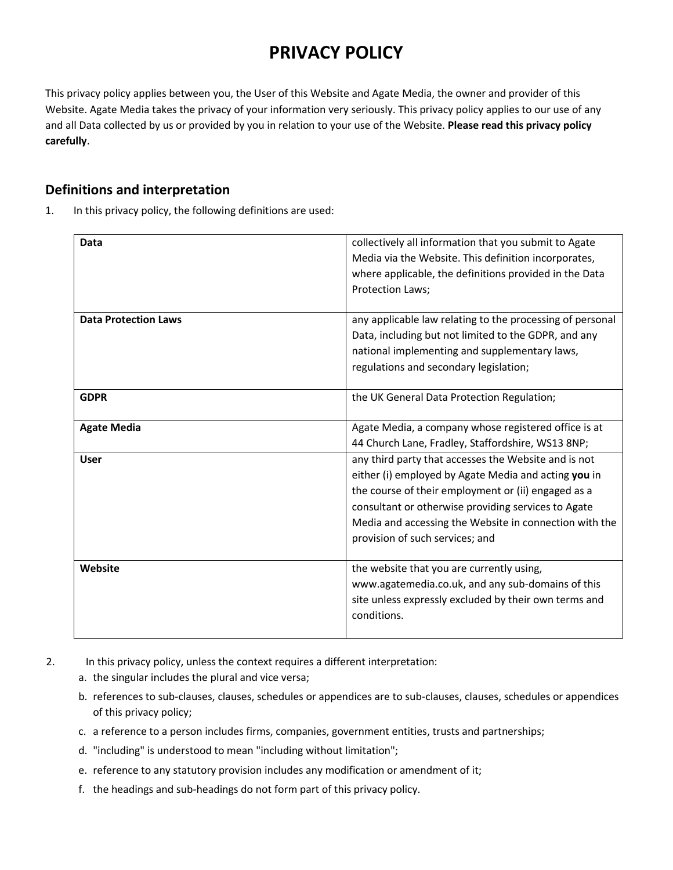# **PRIVACY POLICY**

This privacy policy applies between you, the User of this Website and Agate Media, the owner and provider of this Website. Agate Media takes the privacy of your information very seriously. This privacy policy applies to our use of any and all Data collected by us or provided by you in relation to your use of the Website. **Please read this privacy policy carefully**.

## **Definitions and interpretation**

1. In this privacy policy, the following definitions are used:

| Data                        | collectively all information that you submit to Agate<br>Media via the Website. This definition incorporates,                                                                                                                                                                                                           |
|-----------------------------|-------------------------------------------------------------------------------------------------------------------------------------------------------------------------------------------------------------------------------------------------------------------------------------------------------------------------|
|                             | where applicable, the definitions provided in the Data<br>Protection Laws;                                                                                                                                                                                                                                              |
| <b>Data Protection Laws</b> | any applicable law relating to the processing of personal<br>Data, including but not limited to the GDPR, and any<br>national implementing and supplementary laws,                                                                                                                                                      |
|                             | regulations and secondary legislation;                                                                                                                                                                                                                                                                                  |
| <b>GDPR</b>                 | the UK General Data Protection Regulation;                                                                                                                                                                                                                                                                              |
| <b>Agate Media</b>          | Agate Media, a company whose registered office is at<br>44 Church Lane, Fradley, Staffordshire, WS13 8NP;                                                                                                                                                                                                               |
| <b>User</b>                 | any third party that accesses the Website and is not<br>either (i) employed by Agate Media and acting you in<br>the course of their employment or (ii) engaged as a<br>consultant or otherwise providing services to Agate<br>Media and accessing the Website in connection with the<br>provision of such services; and |
| Website                     | the website that you are currently using,<br>www.agatemedia.co.uk, and any sub-domains of this<br>site unless expressly excluded by their own terms and<br>conditions.                                                                                                                                                  |

- 2. In this privacy policy, unless the context requires a different interpretation:
	- a. the singular includes the plural and vice versa;
	- b. references to sub-clauses, clauses, schedules or appendices are to sub-clauses, clauses, schedules or appendices of this privacy policy;
	- c. a reference to a person includes firms, companies, government entities, trusts and partnerships;
	- d. "including" is understood to mean "including without limitation";
	- e. reference to any statutory provision includes any modification or amendment of it;
	- f. the headings and sub-headings do not form part of this privacy policy.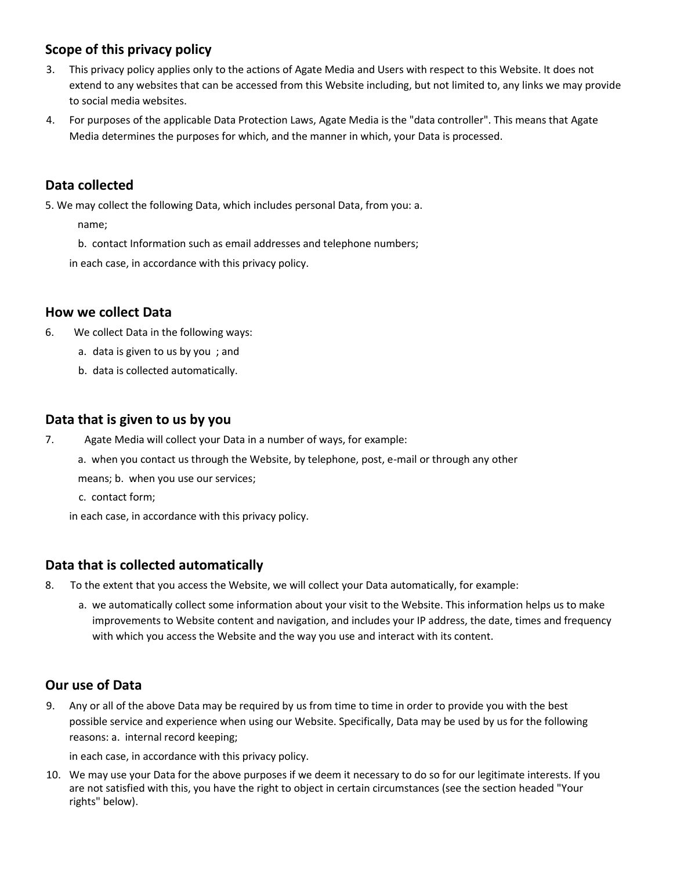# **Scope of this privacy policy**

- 3. This privacy policy applies only to the actions of Agate Media and Users with respect to this Website. It does not extend to any websites that can be accessed from this Website including, but not limited to, any links we may provide to social media websites.
- 4. For purposes of the applicable Data Protection Laws, Agate Media is the "data controller". This means that Agate Media determines the purposes for which, and the manner in which, your Data is processed.

# **Data collected**

5. We may collect the following Data, which includes personal Data, from you: a.

name;

b. contact Information such as email addresses and telephone numbers;

in each case, in accordance with this privacy policy.

#### **How we collect Data**

- 6. We collect Data in the following ways:
	- a. data is given to us by you ; and
	- b. data is collected automatically.

## **Data that is given to us by you**

- 7. Agate Media will collect your Data in a number of ways, for example:
	- a. when you contact us through the Website, by telephone, post, e-mail or through any other

means; b. when you use our services;

c. contact form;

in each case, in accordance with this privacy policy.

#### **Data that is collected automatically**

- 8. To the extent that you access the Website, we will collect your Data automatically, for example:
	- a. we automatically collect some information about your visit to the Website. This information helps us to make improvements to Website content and navigation, and includes your IP address, the date, times and frequency with which you access the Website and the way you use and interact with its content.

# **Our use of Data**

9. Any or all of the above Data may be required by us from time to time in order to provide you with the best possible service and experience when using our Website. Specifically, Data may be used by us for the following reasons: a. internal record keeping;

in each case, in accordance with this privacy policy.

10. We may use your Data for the above purposes if we deem it necessary to do so for our legitimate interests. If you are not satisfied with this, you have the right to object in certain circumstances (see the section headed "Your rights" below).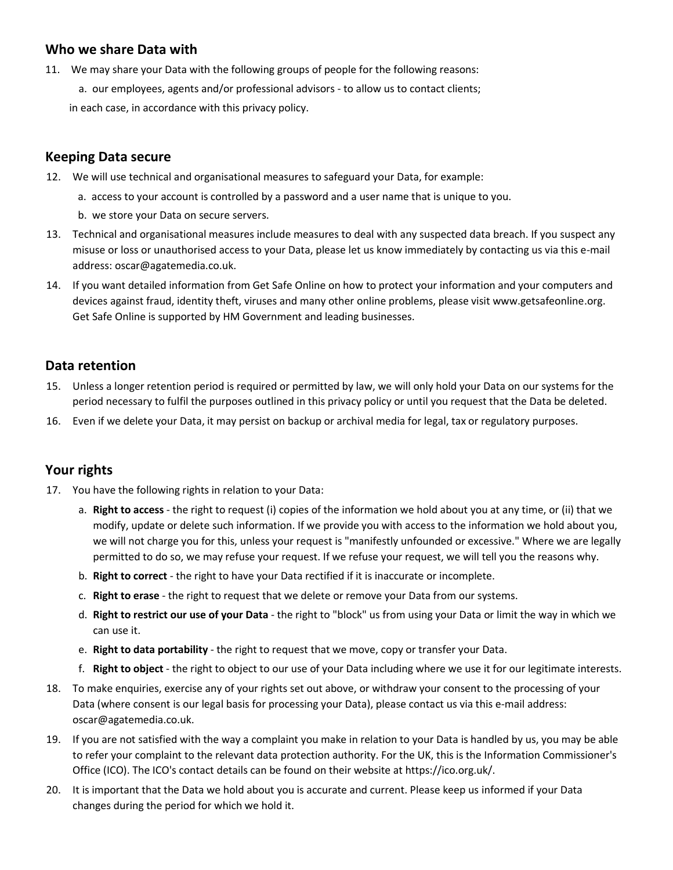## **Who we share Data with**

- 11. We may share your Data with the following groups of people for the following reasons:
	- a. our employees, agents and/or professional advisors to allow us to contact clients;

in each case, in accordance with this privacy policy.

#### **Keeping Data secure**

- 12. We will use technical and organisational measures to safeguard your Data, for example:
	- a. access to your account is controlled by a password and a user name that is unique to you.
	- b. we store your Data on secure servers.
- 13. Technical and organisational measures include measures to deal with any suspected data breach. If you suspect any misuse or loss or unauthorised access to your Data, please let us know immediately by contacting us via this e-mail address: oscar@agatemedia.co.uk.
- 14. If you want detailed information from Get Safe Online on how to protect your information and your computers and devices against fraud, identity theft, viruses and many other online problems, please visit www.getsafeonline.org. Get Safe Online is supported by HM Government and leading businesses.

#### **Data retention**

- 15. Unless a longer retention period is required or permitted by law, we will only hold your Data on our systems for the period necessary to fulfil the purposes outlined in this privacy policy or until you request that the Data be deleted.
- 16. Even if we delete your Data, it may persist on backup or archival media for legal, tax or regulatory purposes.

#### **Your rights**

- 17. You have the following rights in relation to your Data:
	- a. **Right to access** the right to request (i) copies of the information we hold about you at any time, or (ii) that we modify, update or delete such information. If we provide you with access to the information we hold about you, we will not charge you for this, unless your request is "manifestly unfounded or excessive." Where we are legally permitted to do so, we may refuse your request. If we refuse your request, we will tell you the reasons why.
	- b. **Right to correct** the right to have your Data rectified if it is inaccurate or incomplete.
	- c. **Right to erase** the right to request that we delete or remove your Data from our systems.
	- d. **Right to restrict our use of your Data** the right to "block" us from using your Data or limit the way in which we can use it.
	- e. **Right to data portability** the right to request that we move, copy or transfer your Data.
	- f. **Right to object** the right to object to our use of your Data including where we use it for our legitimate interests.
- 18. To make enquiries, exercise any of your rights set out above, or withdraw your consent to the processing of your Data (where consent is our legal basis for processing your Data), please contact us via this e-mail address: oscar@agatemedia.co.uk.
- 19. If you are not satisfied with the way a complaint you make in relation to your Data is handled by us, you may be able to refer your complaint to the relevant data protection authority. For the UK, this is the Information Commissioner's Office (ICO). The ICO's contact details can be found on their website at https://ico.org.uk/.
- 20. It is important that the Data we hold about you is accurate and current. Please keep us informed if your Data changes during the period for which we hold it.